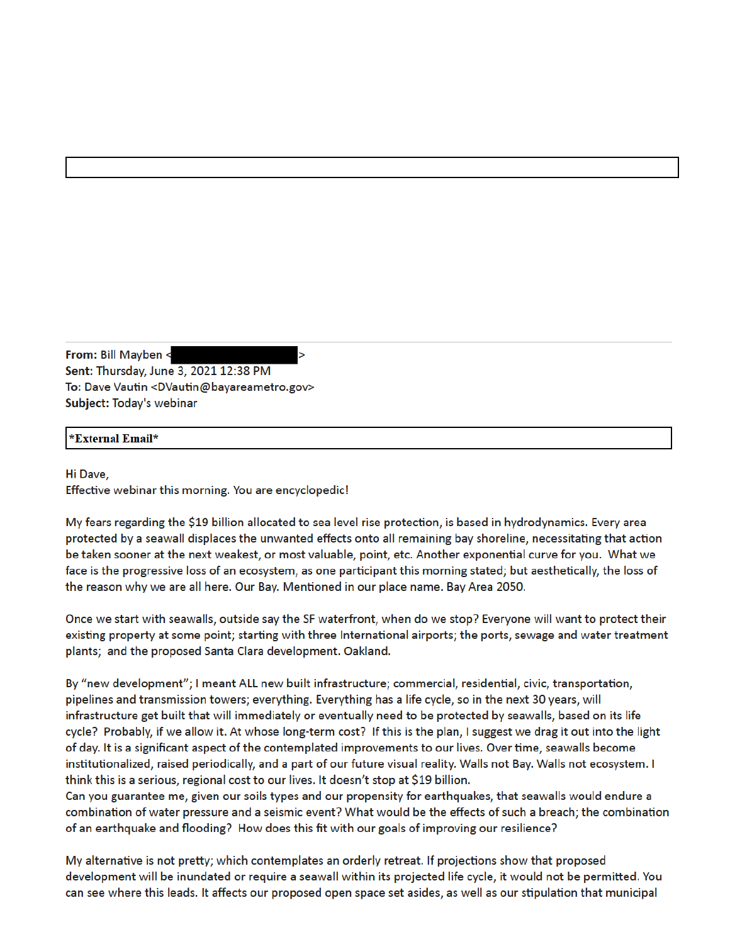From: Bill Mayben < Sent: Thursday, June 3, 2021 12:38 PM To: Dave Vautin <DVautin@bayareametro.gov> Subject: Today's webinar

## \*External Email\*

Hi Dave. Effective webinar this morning. You are encyclopedic!

My fears regarding the \$19 billion allocated to sea level rise protection, is based in hydrodynamics. Every area protected by a seawall displaces the unwanted effects onto all remaining bay shoreline, necessitating that action be taken sooner at the next weakest, or most valuable, point, etc. Another exponential curve for you. What we face is the progressive loss of an ecosystem, as one participant this morning stated; but aesthetically, the loss of the reason why we are all here. Our Bay. Mentioned in our place name. Bay Area 2050.

Once we start with seawalls, outside say the SF waterfront, when do we stop? Everyone will want to protect their existing property at some point; starting with three International airports; the ports, sewage and water treatment plants; and the proposed Santa Clara development. Oakland.

By "new development"; I meant ALL new built infrastructure; commercial, residential, civic, transportation, pipelines and transmission towers; everything. Everything has a life cycle, so in the next 30 years, will infrastructure get built that will immediately or eventually need to be protected by seawalls, based on its life cycle? Probably, if we allow it. At whose long-term cost? If this is the plan, I suggest we drag it out into the light of day. It is a significant aspect of the contemplated improvements to our lives. Over time, seawalls become institutionalized, raised periodically, and a part of our future visual reality. Walls not Bay. Walls not ecosystem. I think this is a serious, regional cost to our lives. It doesn't stop at \$19 billion.

Can you guarantee me, given our soils types and our propensity for earthquakes, that seawalls would endure a combination of water pressure and a seismic event? What would be the effects of such a breach; the combination of an earthquake and flooding? How does this fit with our goals of improving our resilience?

My alternative is not pretty; which contemplates an orderly retreat. If projections show that proposed development will be inundated or require a seawall within its projected life cycle, it would not be permitted. You can see where this leads. It affects our proposed open space set asides, as well as our stipulation that municipal